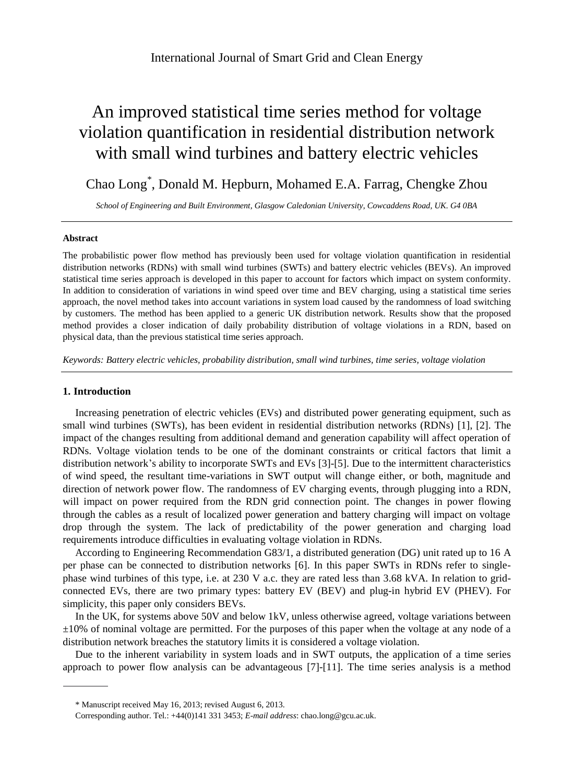# An improved statistical time series method for voltage violation quantification in residential distribution network with small wind turbines and battery electric vehicles

Chao Long\* , Donald M. Hepburn, Mohamed E.A. Farrag, Chengke Zhou

*School of Engineering and Built Environment, Glasgow Caledonian University, Cowcaddens Road, UK. G4 0BA*

## **Abstract**

The probabilistic power flow method has previously been used for voltage violation quantification in residential distribution networks (RDNs) with small wind turbines (SWTs) and battery electric vehicles (BEVs). An improved statistical time series approach is developed in this paper to account for factors which impact on system conformity. In addition to consideration of variations in wind speed over time and BEV charging, using a statistical time series approach, the novel method takes into account variations in system load caused by the randomness of load switching by customers. The method has been applied to a generic UK distribution network. Results show that the proposed method provides a closer indication of daily probability distribution of voltage violations in a RDN, based on physical data, than the previous statistical time series approach.

*Keywords: Battery electric vehicles, probability distribution, small wind turbines, time series, voltage violation*

## **1. Introduction**

Increasing penetration of electric vehicles (EVs) and distributed power generating equipment, such as small wind turbines (SWTs), has been evident in residential distribution networks (RDNs) [\[1\],](#page-7-0) [\[2\].](#page-7-1) The impact of the changes resulting from additional demand and generation capability will affect operation of RDNs. Voltage violation tends to be one of the dominant constraints or critical factors that limit a distribution network's ability to incorporate SWTs and EVs [\[3\]](#page-7-2)[-\[5\].](#page-7-3) Due to the intermittent characteristics of wind speed, the resultant time-variations in SWT output will change either, or both, magnitude and direction of network power flow. The randomness of EV charging events, through plugging into a RDN, will impact on power required from the RDN grid connection point. The changes in power flowing through the cables as a result of localized power generation and battery charging will impact on voltage drop through the system. The lack of predictability of the power generation and charging load requirements introduce difficulties in evaluating voltage violation in RDNs.

According to Engineering Recommendation G83/1, a distributed generation (DG) unit rated up to 16 A per phase can be connected to distribution networks [\[6\].](#page-7-4) In this paper SWTs in RDNs refer to singlephase wind turbines of this type, i.e. at 230 V a.c. they are rated less than 3.68 kVA. In relation to gridconnected EVs, there are two primary types: battery EV (BEV) and plug-in hybrid EV (PHEV). For simplicity, this paper only considers BEVs.

In the UK, for systems above 50V and below 1kV, unless otherwise agreed, voltage variations between ±10% of nominal voltage are permitted. For the purposes of this paper when the voltage at any node of a distribution network breaches the statutory limits it is considered a voltage violation.

Due to the inherent variability in system loads and in SWT outputs, the application of a time series approach to power flow analysis can be advantageous [\[7\]](#page-7-5)[-\[11\].](#page-7-6) The time series analysis is a method

<sup>\*</sup> Manuscript received May 16, 2013; revised August 6, 2013.

Corresponding author. Tel.: +44(0)141 331 3453; *E-mail address*: chao.long@gcu.ac.uk.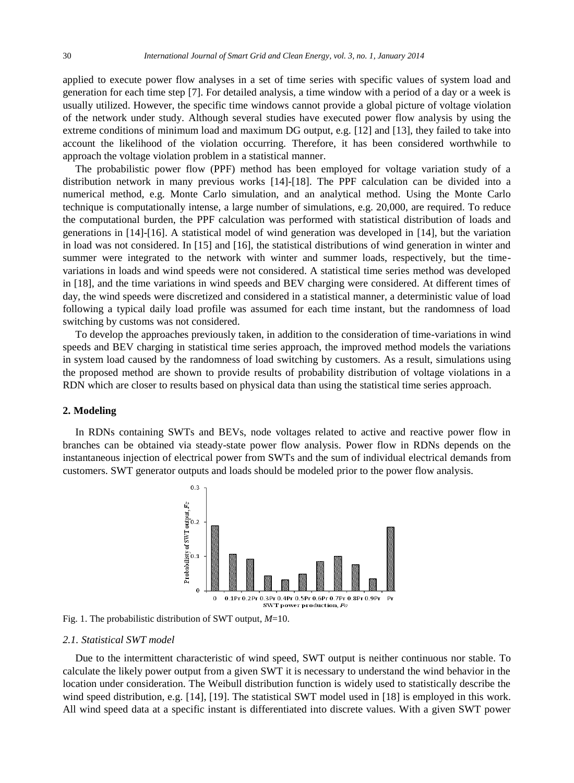applied to execute power flow analyses in a set of time series with specific values of system load and generation for each time step [\[7\].](#page-7-5) For detailed analysis, a time window with a period of a day or a week is usually utilized. However, the specific time windows cannot provide a global picture of voltage violation of the network under study. Although several studies have executed power flow analysis by using the extreme conditions of minimum load and maximum DG output, e.g. [\[12\]](#page-7-7) and [\[13\],](#page-7-8) they failed to take into account the likelihood of the violation occurring. Therefore, it has been considered worthwhile to approach the voltage violation problem in a statistical manner.

The probabilistic power flow (PPF) method has been employed for voltage variation study of a distribution network in many previous works [\[14\]-](#page-7-9)[\[18\].](#page-7-10) The PPF calculation can be divided into a numerical method, e.g. Monte Carlo simulation, and an analytical method. Using the Monte Carlo technique is computationally intense, a large number of simulations, e.g. 20,000, are required. To reduce the computational burden, the PPF calculation was performed with statistical distribution of loads and generations in [\[14\]-](#page-7-9)[\[16\].](#page-7-11) A statistical model of wind generation was developed in [\[14\],](#page-7-9) but the variation in load was not considered. In [\[15\]](#page-7-12) and [\[16\],](#page-7-11) the statistical distributions of wind generation in winter and summer were integrated to the network with winter and summer loads, respectively, but the timevariations in loads and wind speeds were not considered. A statistical time series method was developed in [\[18\],](#page-7-10) and the time variations in wind speeds and BEV charging were considered. At different times of day, the wind speeds were discretized and considered in a statistical manner, a deterministic value of load following a typical daily load profile was assumed for each time instant, but the randomness of load switching by customs was not considered.

To develop the approaches previously taken, in addition to the consideration of time-variations in wind speeds and BEV charging in statistical time series approach, the improved method models the variations in system load caused by the randomness of load switching by customers. As a result, simulations using the proposed method are shown to provide results of probability distribution of voltage violations in a RDN which are closer to results based on physical data than using the statistical time series approach.

## **2. Modeling**

In RDNs containing SWTs and BEVs, node voltages related to active and reactive power flow in branches can be obtained via steady-state power flow analysis. Power flow in RDNs depends on the instantaneous injection of electrical power from SWTs and the sum of individual electrical demands from customers. SWT generator outputs and loads should be modeled prior to the power flow analysis.



Fig. 1. The probabilistic distribution of SWT output, *M*=10.

## *2.1. Statistical SWT model*

Due to the intermittent characteristic of wind speed, SWT output is neither continuous nor stable. To calculate the likely power output from a given SWT it is necessary to understand the wind behavior in the location under consideration. The Weibull distribution function is widely used to statistically describe the wind speed distribution, e.g. [\[14\],](#page-7-9) [\[19\].](#page-7-13) The statistical SWT model used in [\[18\]](#page-7-10) is employed in this work. All wind speed data at a specific instant is differentiated into discrete values. With a given SWT power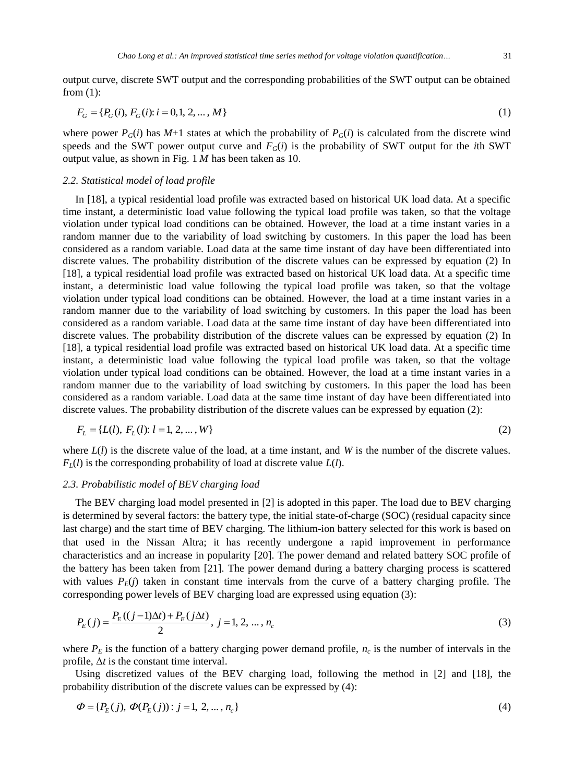output curve, discrete SWT output and the corresponding probabilities of the SWT output can be obtained from (1):

$$
F_G = \{P_G(i), F_G(i): i = 0, 1, 2, \dots, M\}
$$
\n<sup>(1)</sup>

where power  $P_G(i)$  has  $M+1$  states at which the probability of  $P_G(i)$  is calculated from the discrete wind speeds and the SWT power output curve and  $F_G(i)$  is the probability of SWT output for the *i*th SWT output value, as shown in Fig. 1 M has been taken as 10.

## *2.2. Statistical model of load profile*

In [\[18\],](#page-7-10) a typical residential load profile was extracted based on historical UK load data. At a specific time instant, a deterministic load value following the typical load profile was taken, so that the voltage violation under typical load conditions can be obtained. However, the load at a time instant varies in a random manner due to the variability of load switching by customers. In this paper the load has been considered as a random variable. Load data at the same time instant of day have been differentiated into discrete values. The probability distribution of the discrete values can be expressed by equation (2) In [\[18\],](#page-7-10) a typical residential load profile was extracted based on historical UK load data. At a specific time instant, a deterministic load value following the typical load profile was taken, so that the voltage violation under typical load conditions can be obtained. However, the load at a time instant varies in a random manner due to the variability of load switching by customers. In this paper the load has been considered as a random variable. Load data at the same time instant of day have been differentiated into discrete values. The probability distribution of the discrete values can be expressed by equation (2) In [\[18\],](#page-7-10) a typical residential load profile was extracted based on historical UK load data. At a specific time instant, a deterministic load value following the typical load profile was taken, so that the voltage violation under typical load conditions can be obtained. However, the load at a time instant varies in a random manner due to the variability of load switching by customers. In this paper the load has been considered as a random variable. Load data at the same time instant of day have been differentiated into discrete values. The probability distribution of the discrete values can be expressed by equation (2):

$$
F_L = \{L(l), F_L(l): l = 1, 2, \dots, W\}
$$
\n(2)

where  $L(I)$  is the discrete value of the load, at a time instant, and *W* is the number of the discrete values.  $F<sub>L</sub>(l)$  is the corresponding probability of load at discrete value  $L(l)$ .

## *2.3. Probabilistic model of BEV charging load*

The BEV charging load model presented in [\[2\]](#page-7-1) is adopted in this paper. The load due to BEV charging is determined by several factors: the battery type, the initial state-of-charge (SOC) (residual capacity since last charge) and the start time of BEV charging. The lithium-ion battery selected for this work is based on that used in the Nissan Altra; it has recently undergone a rapid improvement in performance characteristics and an increase in popularity [\[20\].](#page-7-14) The power demand and related battery SOC profile of the battery has been taken from [\[21\].](#page-7-15) The power demand during a battery charging process is scattered with values  $P<sub>E</sub>(*j*)$  taken in constant time intervals from the curve of a battery charging profile. The corresponding power levels of BEV charging load are expressed using equation (3):

$$
P_E(j) = \frac{P_E((j-1)\Delta t) + P_E(j\Delta t)}{2}, \ j = 1, 2, ..., n_c
$$
\n(3)

where  $P_E$  is the function of a battery charging power demand profile,  $n_c$  is the number of intervals in the profile,  $\Delta t$  is the constant time interval.

Using discretized values of the BEV charging load, following the method in [\[2\]](#page-7-1) and [\[18\],](#page-7-10) the probability distribution of the discrete values can be expressed by (4):

$$
\Phi = \{P_E(j), \Phi(P_E(j)) : j = 1, 2, ..., n_c\}
$$
\n(4)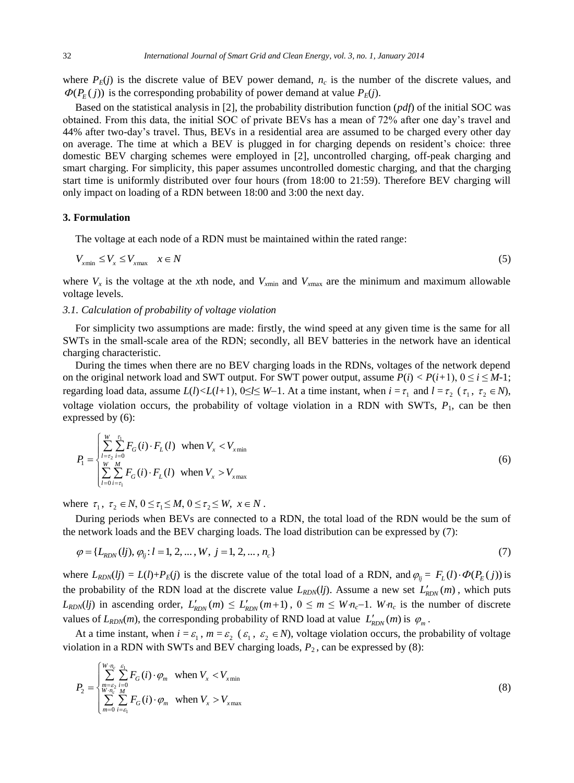where  $P_E(j)$  is the discrete value of BEV power demand,  $n_c$  is the number of the discrete values, and  $\Phi(P_E(j))$  is the corresponding probability of power demand at value  $P_E(j)$ .

Based on the statistical analysis in [\[2\],](#page-7-1) the probability distribution function (*pdf*) of the initial SOC was obtained. From this data, the initial SOC of private BEVs has a mean of 72% after one day's travel and 44% after two-day's travel. Thus, BEVs in a residential area are assumed to be charged every other day on average. The time at which a BEV is plugged in for charging depends on resident's choice: three domestic BEV charging schemes were employed in [\[2\],](#page-7-1) uncontrolled charging, off-peak charging and smart charging. For simplicity, this paper assumes uncontrolled domestic charging, and that the charging start time is uniformly distributed over four hours (from 18:00 to 21:59). Therefore BEV charging will only impact on loading of a RDN between 18:00 and 3:00 the next day.

## **3. Formulation**

The voltage at each node of a RDN must be maintained within the rated range:

$$
V_{\text{xmin}} \le V_x \le V_{\text{xmax}} \quad x \in N \tag{5}
$$

where  $V_x$  is the voltage at the *x*th node, and  $V_{xmin}$  and  $V_{xmax}$  are the minimum and maximum allowable voltage levels.

#### *3.1. Calculation of probability of voltage violation*

For simplicity two assumptions are made: firstly, the wind speed at any given time is the same for all SWTs in the small-scale area of the RDN; secondly, all BEV batteries in the network have an identical charging characteristic.

During the times when there are no BEV charging loads in the RDNs, voltages of the network depend on the original network load and SWT output. For SWT power output, assume  $P(i) < P(i+1)$ ,  $0 \le i \le M-1$ ; regarding load data, assume  $L(l) \le L(l+1)$ ,  $0 \le l \le W-1$ . At a time instant, when  $i = \tau_1$  and  $l = \tau_2$  ( $\tau_1$ ,  $\tau_2 \in N$ ), voltage violation occurs, the probability of voltage violation in a RDN with SWTs,  $P_1$ , can be then expressed by (6):

$$
P_{1} = \begin{cases} \sum_{l=r_{2}}^{W} \sum_{i=0}^{r_{1}} F_{G}(i) \cdot F_{L}(l) & \text{when } V_{x} < V_{x\text{min}} \\ \sum_{l=0}^{W} \sum_{i=r_{1}}^{M} F_{G}(i) \cdot F_{L}(l) & \text{when } V_{x} > V_{x\text{max}} \end{cases}
$$
(6)

where  $\tau_1$ ,  $\tau_2 \in N$ ,  $0 \le \tau_1 \le M$ ,  $0 \le \tau_2 \le W$ ,  $x \in N$ .

During periods when BEVs are connected to a RDN, the total load of the RDN would be the sum of the network loads and the BEV charging loads. The load distribution can be expressed by (7):

$$
\varphi = \{L_{RDN}(lj), \varphi_{lj}: l = 1, 2, ..., W, j = 1, 2, ..., n_c\}
$$
\n(7)

where  $L_{RDN}(lj) = L(l) + P_E(j)$  is the discrete value of the total load of a RDN, and  $\varphi_{ij} = F_L(l) \cdot \Phi(P_E(j))$  is the probability of the RDN load at the discrete value  $L_{RDN}(lj)$ . Assume a new set  $L'_{RDN}(m)$ , which puts *L*<sub>RDN</sub>(*lj*) in ascending order,  $L'_{RDN}(m) \le L'_{RDN}(m+1)$ ,  $0 \le m \le Wn_c-1$ .  $Wn_c$  is the number of discrete values of  $L_{RDN}(m)$ , the corresponding probability of RND load at value  $L'_{RDN}(m)$  is  $\varphi_m$ .

At a time instant, when  $i = \varepsilon_1$ ,  $m = \varepsilon_2$  ( $\varepsilon_1$ ,  $\varepsilon_2 \in N$ ), voltage violation occurs, the probability of voltage violation in a RDN with SWTs and BEV charging loads,  $P_2$ , can be expressed by (8):

$$
P_2 = \begin{cases} \sum_{m=c_2}^{W \cdot n_c} \sum_{i=0}^{\varepsilon_i} F_G(i) \cdot \varphi_m & \text{when } V_x < V_{x \text{min}} \\ \sum_{m=0}^{W \cdot n_c} \sum_{i=\varepsilon_i}^{M} F_G(i) \cdot \varphi_m & \text{when } V_x > V_{x \text{max}} \end{cases}
$$
(8)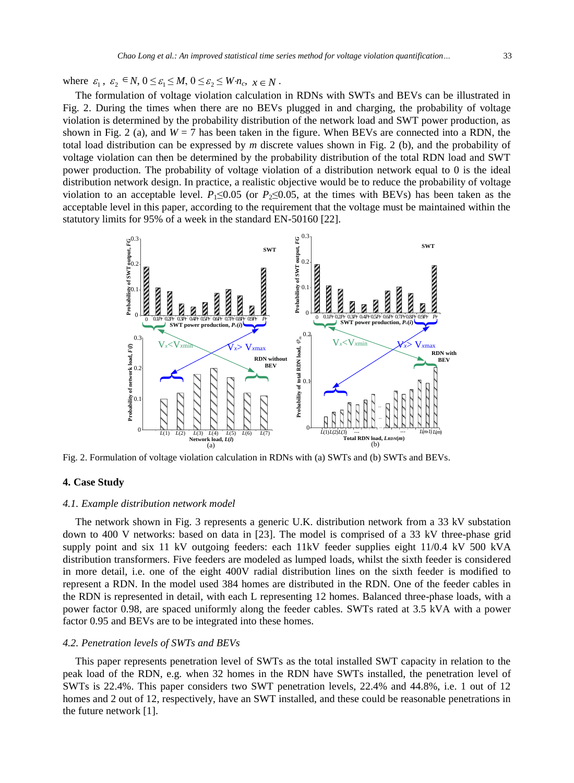where  $\varepsilon_1$ ,  $\varepsilon_2 \in N$ ,  $0 \le \varepsilon_1 \le M$ ,  $0 \le \varepsilon_2 \le Wn_c$ ,  $x \in N$ .

The formulation of voltage violation calculation in RDNs with SWTs and BEVs can be illustrated in Fig. 2. During the times when there are no BEVs plugged in and charging, the probability of voltage violation is determined by the probability distribution of the network load and SWT power production, as shown in Fig. 2 (a), and  $W = 7$  has been taken in the figure. When BEVs are connected into a RDN, the total load distribution can be expressed by *m* discrete values shown in Fig. 2 (b), and the probability of voltage violation can then be determined by the probability distribution of the total RDN load and SWT power production. The probability of voltage violation of a distribution network equal to 0 is the ideal distribution network design. In practice, a realistic objective would be to reduce the probability of voltage violation to an acceptable level. *P*<sub>1</sub>≤0.05 (or *P*<sub>2</sub>≤0.05, at the times with BEVs) has been taken as the acceptable level in this paper, according to the requirement that the voltage must be maintained within the statutory limits for 95% of a week in the standard EN-50160 [\[22\].](#page-7-16)



Fig. 2. Formulation of voltage violation calculation in RDNs with (a) SWTs and (b) SWTs and BEVs.

## **4. Case Study**

## *4.1. Example distribution network model*

The network shown in Fig. 3 represents a generic U.K. distribution network from a 33 kV substation down to 400 V networks: based on data in [\[23\].](#page-7-17) The model is comprised of a 33 kV three-phase grid supply point and six 11 kV outgoing feeders: each 11kV feeder supplies eight 11/0.4 kV 500 kVA distribution transformers. Five feeders are modeled as lumped loads, whilst the sixth feeder is considered in more detail, i.e. one of the eight 400V radial distribution lines on the sixth feeder is modified to represent a RDN. In the model used 384 homes are distributed in the RDN. One of the feeder cables in the RDN is represented in detail, with each L representing 12 homes. Balanced three-phase loads, with a power factor 0.98, are spaced uniformly along the feeder cables. SWTs rated at 3.5 kVA with a power factor 0.95 and BEVs are to be integrated into these homes.

### *4.2. Penetration levels of SWTs and BEVs*

This paper represents penetration level of SWTs as the total installed SWT capacity in relation to the peak load of the RDN, e.g. when 32 homes in the RDN have SWTs installed, the penetration level of SWTs is 22.4%. This paper considers two SWT penetration levels, 22.4% and 44.8%, i.e. 1 out of 12 homes and 2 out of 12, respectively, have an SWT installed, and these could be reasonable penetrations in the future network [\[1\].](#page-7-0)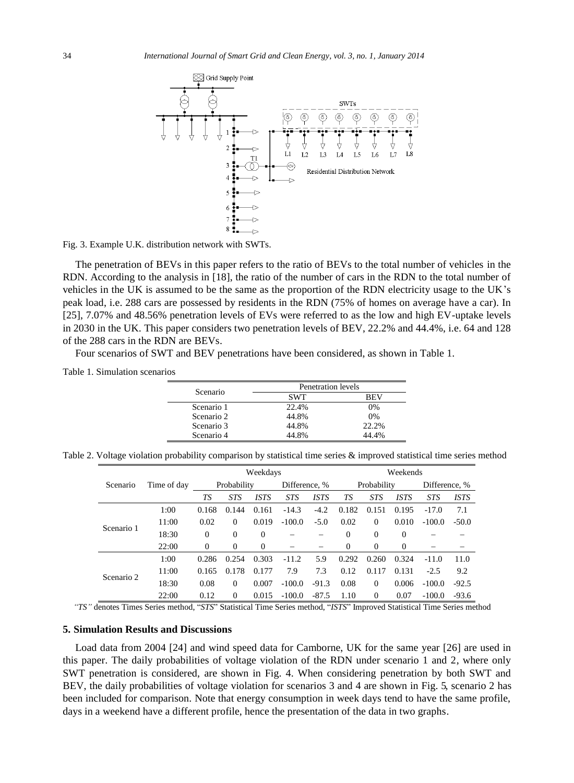

Fig. 3. Example U.K. distribution network with SWTs.

The penetration of BEVs in this paper refers to the ratio of BEVs to the total number of vehicles in the RDN. According to the analysis in [\[18\],](#page-7-10) the ratio of the number of cars in the RDN to the total number of vehicles in the UK is assumed to be the same as the proportion of the RDN electricity usage to the UK's peak load, i.e. 288 cars are possessed by residents in the RDN (75% of homes on average have a car). In [\[25\],](#page-7-18) 7.07% and 48.56% penetration levels of EVs were referred to as the low and high EV-uptake levels in 2030 in the UK. This paper considers two penetration levels of BEV, 22.2% and 44.4%, i.e. 64 and 128 of the 288 cars in the RDN are BEVs.

Four scenarios of SWT and BEV penetrations have been considered, as shown in Table 1.

Table 1. Simulation scenarios

| Scenario   | Penetration levels |       |  |  |  |  |
|------------|--------------------|-------|--|--|--|--|
|            | SWT                | REV   |  |  |  |  |
| Scenario 1 | 22.4%              | $0\%$ |  |  |  |  |
| Scenario 2 | 44.8%              | $0\%$ |  |  |  |  |
| Scenario 3 | 44.8%              | 22.2% |  |  |  |  |
| Scenario 4 | 44.8%              | 44 4% |  |  |  |  |

Table 2. Voltage violation probability comparison by statistical time series & improved statistical time series method

|            |             | Weekdays       |              |                |            | Weekends    |                |            |                    |            |             |
|------------|-------------|----------------|--------------|----------------|------------|-------------|----------------|------------|--------------------|------------|-------------|
| Scenario   | Time of day | Probability    |              | Difference, %  |            | Probability |                |            | Difference, %      |            |             |
|            |             | TS             | <b>STS</b>   | <b>ISTS</b>    | <b>STS</b> | <b>ISTS</b> | TS             | <b>STS</b> | <i><b>ISTS</b></i> | <b>STS</b> | <b>ISTS</b> |
| Scenario 1 | 1:00        | 0.168          | 0.144        | 0.161          | $-14.3$    | $-4.2$      | 0.182          | 0.151      | 0.195              | $-17.0$    | 7.1         |
|            | 11:00       | 0.02           | $\Omega$     | 0.019          | $-100.0$   | $-5.0$      | 0.02           | $\Omega$   | 0.010              | $-100.0$   | $-50.0$     |
|            | 18:30       | $\overline{0}$ | $\mathbf{0}$ | $\overline{0}$ |            |             | $\overline{0}$ | $\Omega$   | $\Omega$           |            |             |
|            | 22:00       | $\overline{0}$ | $\Omega$     | $\Omega$       |            |             | $\Omega$       | $\Omega$   | $\Omega$           |            |             |
| Scenario 2 | 1:00        | 0.286          | 0.254        | 0.303          | $-11.2$    | 5.9         | 0.292          | 0.260      | 0.324              | $-11.0$    | 11.0        |
|            | 11:00       | 0.165          | 0.178        | 0.177          | 7.9        | 7.3         | 0.12           | 0.117      | 0.131              | $-2.5$     | 9.2         |
|            | 18:30       | 0.08           | $\Omega$     | 0.007          | $-100.0$   | $-91.3$     | 0.08           | $\Omega$   | 0.006              | $-100.0$   | $-92.5$     |
|            | 22:00       | 0.12           | $\Omega$     | 0.015          | $-100.0$   | $-87.5$     | 1.10           | $\Omega$   | 0.07               | $-100.0$   | $-93.6$     |

*"TS"* denotes Times Series method, "*STS*" Statistical Time Series method, "*ISTS*" Improved Statistical Time Series method

## **5. Simulation Results and Discussions**

Load data from 2004 [\[24\]](#page-7-19) and wind speed data for Camborne, UK for the same year [\[26\]](#page-7-20) are used in this paper. The daily probabilities of voltage violation of the RDN under scenario 1 and 2, where only SWT penetration is considered, are shown in Fig. 4. When considering penetration by both SWT and BEV, the daily probabilities of voltage violation for scenarios 3 and 4 are shown in Fig. 5, scenario 2 has been included for comparison. Note that energy consumption in week days tend to have the same profile, days in a weekend have a different profile, hence the presentation of the data in two graphs.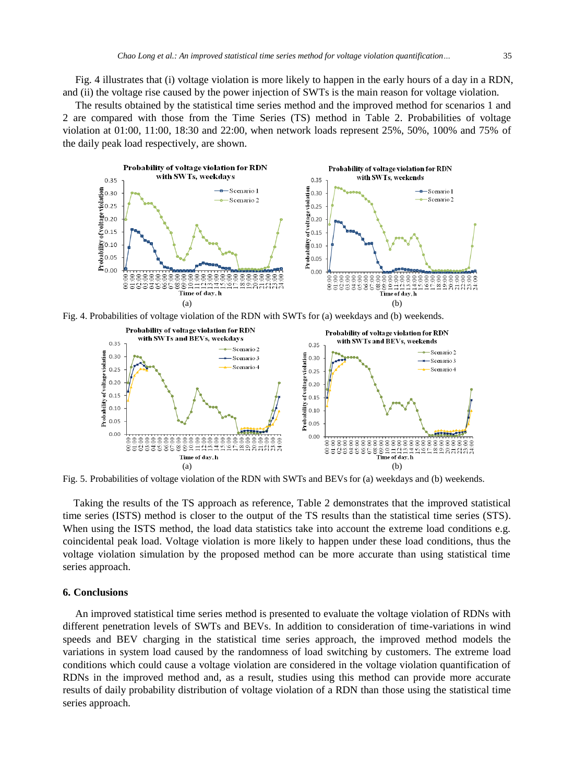Fig. 4 illustrates that (i) voltage violation is more likely to happen in the early hours of a day in a RDN, and (ii) the voltage rise caused by the power injection of SWTs is the main reason for voltage violation.

The results obtained by the statistical time series method and the improved method for scenarios 1 and 2 are compared with those from the Time Series (TS) method in Table 2. Probabilities of voltage violation at 01:00, 11:00, 18:30 and 22:00, when network loads represent 25%, 50%, 100% and 75% of the daily peak load respectively, are shown.



Fig. 4. Probabilities of voltage violation of the RDN with SWTs for (a) weekdays and (b) weekends.



Fig. 5. Probabilities of voltage violation of the RDN with SWTs and BEVs for (a) weekdays and (b) weekends.

Taking the results of the TS approach as reference, Table 2 demonstrates that the improved statistical time series (ISTS) method is closer to the output of the TS results than the statistical time series (STS). When using the ISTS method, the load data statistics take into account the extreme load conditions e.g. coincidental peak load. Voltage violation is more likely to happen under these load conditions, thus the voltage violation simulation by the proposed method can be more accurate than using statistical time series approach.

## **6. Conclusions**

An improved statistical time series method is presented to evaluate the voltage violation of RDNs with different penetration levels of SWTs and BEVs. In addition to consideration of time-variations in wind speeds and BEV charging in the statistical time series approach, the improved method models the variations in system load caused by the randomness of load switching by customers. The extreme load conditions which could cause a voltage violation are considered in the voltage violation quantification of RDNs in the improved method and, as a result, studies using this method can provide more accurate results of daily probability distribution of voltage violation of a RDN than those using the statistical time series approach.